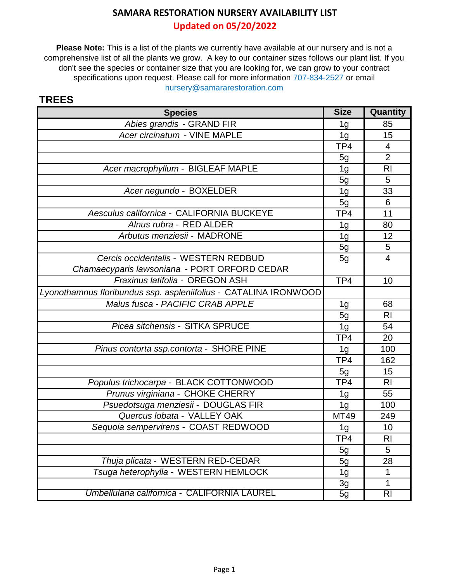**Updated on 05/20/2022**

**Please Note:** This is a list of the plants we currently have available at our nursery and is not a comprehensive list of all the plants we grow. A key to our container sizes follows our plant list. If you don't see the species or container size that you are looking for, we can grow to your contract specifications upon request. Please call for more information 707-834-2527 or email nursery@samararestoration.com

| <b>Species</b>                                                   | <b>Size</b>    | Quantity       |
|------------------------------------------------------------------|----------------|----------------|
| Abies grandis - GRAND FIR                                        | 1 <sub>g</sub> | 85             |
| Acer circinatum - VINE MAPLE                                     | 1 <sub>g</sub> | 15             |
|                                                                  | TP4            | 4              |
|                                                                  | 5g             | $\overline{2}$ |
| Acer macrophyllum - BIGLEAF MAPLE                                | 1 <sub>g</sub> | R <sub>l</sub> |
|                                                                  | 5g             | 5              |
| Acer negundo - BOXELDER                                          | 1 <sub>g</sub> | 33             |
|                                                                  | 5g             | 6              |
| Aesculus californica - CALIFORNIA BUCKEYE                        | TP4            | 11             |
| Alnus rubra - RED ALDER                                          | 1g             | 80             |
| Arbutus menziesii - MADRONE                                      | 1 <sub>g</sub> | 12             |
|                                                                  | 5g             | 5              |
| Cercis occidentalis - WESTERN REDBUD                             | 5 <sub>g</sub> | $\overline{4}$ |
| Chamaecyparis lawsoniana - PORT ORFORD CEDAR                     |                |                |
| Fraxinus latifolia - OREGON ASH                                  | TP4            | 10             |
| Lyonothamnus floribundus ssp. aspleniifolius - CATALINA IRONWOOD |                |                |
| Malus fusca - PACIFIC CRAB APPLE                                 | 1 <sub>g</sub> | 68             |
|                                                                  | 5g             | R <sub>l</sub> |
| Picea sitchensis - SITKA SPRUCE                                  | 1 <sub>g</sub> | 54             |
|                                                                  | TP4            | 20             |
| Pinus contorta ssp.contorta - SHORE PINE                         | 1 <sub>g</sub> | 100            |
|                                                                  | TP4            | 162            |
|                                                                  | 5g             | 15             |
| Populus trichocarpa - BLACK COTTONWOOD                           | TP4            | <b>RI</b>      |
| Prunus virginiana - CHOKE CHERRY                                 | 1 <sub>g</sub> | 55             |
| Psuedotsuga menziesii - DOUGLAS FIR                              | 1 <sub>g</sub> | 100            |
| Quercus Iobata - VALLEY OAK                                      | <b>MT49</b>    | 249            |
| Sequoia sempervirens - COAST REDWOOD                             | 1g             | 10             |
|                                                                  | TP4            | R <sub>l</sub> |
|                                                                  | 5g             | 5              |
| Thuja plicata - WESTERN RED-CEDAR                                | 5g             | 28             |
| Tsuga heterophylla - WESTERN HEMLOCK                             | 1 <sub>g</sub> | 1              |
|                                                                  | 3g             | 1              |
| Umbellularia californica - CALIFORNIA LAUREL                     | 5g             | R <sub>l</sub> |

#### **TREES**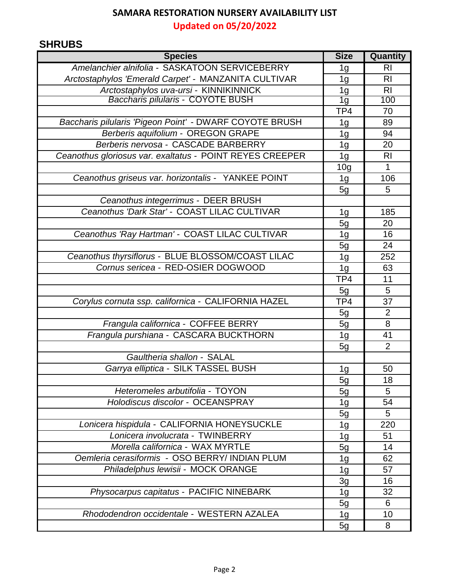**Updated on 05/20/2022**

# **SHRUBS**

| Amelanchier alnifolia - SASKATOON SERVICEBERRY<br><b>RI</b><br>1g<br>Arctostaphylos 'Emerald Carpet' - MANZANITA CULTIVAR<br>1 <sub>g</sub><br><b>RI</b><br>Arctostaphylos uva-ursi - KINNIKINNICK<br>R <sub>l</sub><br>1 <sub>g</sub><br><b>Baccharis pilularis - COYOTE BUSH</b><br>1g<br>100<br>TP4<br>70<br>Baccharis pilularis 'Pigeon Point' - DWARF COYOTE BRUSH<br>89<br>1g<br>Berberis aquifolium - OREGON GRAPE<br>94<br>1 <sub>g</sub><br>Berberis nervosa - CASCADE BARBERRY<br>20<br>1g<br>Ceanothus gloriosus var. exaltatus - POINT REYES CREEPER<br>1 <sub>g</sub><br>R <sub>l</sub><br>1<br>10 <sub>g</sub><br>Ceanothus griseus var. horizontalis - YANKEE POINT<br>106<br>1g<br>5g<br>5<br>Ceanothus integerrimus - DEER BRUSH<br>Ceanothus 'Dark Star' - COAST LILAC CULTIVAR<br>185<br>1g<br>5g<br>20<br>Ceanothus 'Ray Hartman' - COAST LILAC CULTIVAR<br>1 <sub>g</sub><br>16<br>24<br>5g<br>Ceanothus thyrsiflorus - BLUE BLOSSOM/COAST LILAC<br>252<br>1 <sub>g</sub><br>Cornus sericea - RED-OSIER DOGWOOD<br>63<br>1 <sub>g</sub><br>TP4<br>11<br>5<br>5g<br>Corylus cornuta ssp. californica - CALIFORNIA HAZEL<br>TP4<br>37<br>2<br>5g<br>Frangula californica - COFFEE BERRY<br>8<br>5g<br>Frangula purshiana - CASCARA BUCKTHORN<br>41<br>1 <sub>g</sub><br>$\overline{2}$<br>5g<br>Gaultheria shallon - SALAL<br>Garrya elliptica - SILK TASSEL BUSH<br>1 <sub>g</sub><br>50<br>5g<br>18<br>Heteromeles arbutifolia - TOYON<br>5<br>5g<br>Holodiscus discolor - OCEANSPRAY<br>54<br>1g<br>5<br>5g<br>Lonicera hispidula - CALIFORNIA HONEYSUCKLE<br>220<br>1 <sub>g</sub><br>Lonicera involucrata - TWINBERRY<br>51<br>1g<br>Morella californica - WAX MYRTLE<br>14<br>5g<br>Oemleria cerasiformis - OSO BERRY/ INDIAN PLUM<br>1 <sub>g</sub><br>62<br>Philadelphus lewisii - MOCK ORANGE<br>57<br>1 <sub>g</sub><br>3g<br>16<br>Physocarpus capitatus - PACIFIC NINEBARK<br>32<br>1 <sub>g</sub><br>5g<br>6<br>Rhododendron occidentale - WESTERN AZALEA<br>1 <sub>g</sub><br>10<br>5g<br>8 | <b>Species</b> | <b>Size</b> | Quantity |
|------------------------------------------------------------------------------------------------------------------------------------------------------------------------------------------------------------------------------------------------------------------------------------------------------------------------------------------------------------------------------------------------------------------------------------------------------------------------------------------------------------------------------------------------------------------------------------------------------------------------------------------------------------------------------------------------------------------------------------------------------------------------------------------------------------------------------------------------------------------------------------------------------------------------------------------------------------------------------------------------------------------------------------------------------------------------------------------------------------------------------------------------------------------------------------------------------------------------------------------------------------------------------------------------------------------------------------------------------------------------------------------------------------------------------------------------------------------------------------------------------------------------------------------------------------------------------------------------------------------------------------------------------------------------------------------------------------------------------------------------------------------------------------------------------------------------------------------------------------------------------------------------------------------------------------------------------------------------------------------------------------------------------|----------------|-------------|----------|
|                                                                                                                                                                                                                                                                                                                                                                                                                                                                                                                                                                                                                                                                                                                                                                                                                                                                                                                                                                                                                                                                                                                                                                                                                                                                                                                                                                                                                                                                                                                                                                                                                                                                                                                                                                                                                                                                                                                                                                                                                              |                |             |          |
|                                                                                                                                                                                                                                                                                                                                                                                                                                                                                                                                                                                                                                                                                                                                                                                                                                                                                                                                                                                                                                                                                                                                                                                                                                                                                                                                                                                                                                                                                                                                                                                                                                                                                                                                                                                                                                                                                                                                                                                                                              |                |             |          |
|                                                                                                                                                                                                                                                                                                                                                                                                                                                                                                                                                                                                                                                                                                                                                                                                                                                                                                                                                                                                                                                                                                                                                                                                                                                                                                                                                                                                                                                                                                                                                                                                                                                                                                                                                                                                                                                                                                                                                                                                                              |                |             |          |
|                                                                                                                                                                                                                                                                                                                                                                                                                                                                                                                                                                                                                                                                                                                                                                                                                                                                                                                                                                                                                                                                                                                                                                                                                                                                                                                                                                                                                                                                                                                                                                                                                                                                                                                                                                                                                                                                                                                                                                                                                              |                |             |          |
|                                                                                                                                                                                                                                                                                                                                                                                                                                                                                                                                                                                                                                                                                                                                                                                                                                                                                                                                                                                                                                                                                                                                                                                                                                                                                                                                                                                                                                                                                                                                                                                                                                                                                                                                                                                                                                                                                                                                                                                                                              |                |             |          |
|                                                                                                                                                                                                                                                                                                                                                                                                                                                                                                                                                                                                                                                                                                                                                                                                                                                                                                                                                                                                                                                                                                                                                                                                                                                                                                                                                                                                                                                                                                                                                                                                                                                                                                                                                                                                                                                                                                                                                                                                                              |                |             |          |
|                                                                                                                                                                                                                                                                                                                                                                                                                                                                                                                                                                                                                                                                                                                                                                                                                                                                                                                                                                                                                                                                                                                                                                                                                                                                                                                                                                                                                                                                                                                                                                                                                                                                                                                                                                                                                                                                                                                                                                                                                              |                |             |          |
|                                                                                                                                                                                                                                                                                                                                                                                                                                                                                                                                                                                                                                                                                                                                                                                                                                                                                                                                                                                                                                                                                                                                                                                                                                                                                                                                                                                                                                                                                                                                                                                                                                                                                                                                                                                                                                                                                                                                                                                                                              |                |             |          |
|                                                                                                                                                                                                                                                                                                                                                                                                                                                                                                                                                                                                                                                                                                                                                                                                                                                                                                                                                                                                                                                                                                                                                                                                                                                                                                                                                                                                                                                                                                                                                                                                                                                                                                                                                                                                                                                                                                                                                                                                                              |                |             |          |
|                                                                                                                                                                                                                                                                                                                                                                                                                                                                                                                                                                                                                                                                                                                                                                                                                                                                                                                                                                                                                                                                                                                                                                                                                                                                                                                                                                                                                                                                                                                                                                                                                                                                                                                                                                                                                                                                                                                                                                                                                              |                |             |          |
|                                                                                                                                                                                                                                                                                                                                                                                                                                                                                                                                                                                                                                                                                                                                                                                                                                                                                                                                                                                                                                                                                                                                                                                                                                                                                                                                                                                                                                                                                                                                                                                                                                                                                                                                                                                                                                                                                                                                                                                                                              |                |             |          |
|                                                                                                                                                                                                                                                                                                                                                                                                                                                                                                                                                                                                                                                                                                                                                                                                                                                                                                                                                                                                                                                                                                                                                                                                                                                                                                                                                                                                                                                                                                                                                                                                                                                                                                                                                                                                                                                                                                                                                                                                                              |                |             |          |
|                                                                                                                                                                                                                                                                                                                                                                                                                                                                                                                                                                                                                                                                                                                                                                                                                                                                                                                                                                                                                                                                                                                                                                                                                                                                                                                                                                                                                                                                                                                                                                                                                                                                                                                                                                                                                                                                                                                                                                                                                              |                |             |          |
|                                                                                                                                                                                                                                                                                                                                                                                                                                                                                                                                                                                                                                                                                                                                                                                                                                                                                                                                                                                                                                                                                                                                                                                                                                                                                                                                                                                                                                                                                                                                                                                                                                                                                                                                                                                                                                                                                                                                                                                                                              |                |             |          |
|                                                                                                                                                                                                                                                                                                                                                                                                                                                                                                                                                                                                                                                                                                                                                                                                                                                                                                                                                                                                                                                                                                                                                                                                                                                                                                                                                                                                                                                                                                                                                                                                                                                                                                                                                                                                                                                                                                                                                                                                                              |                |             |          |
|                                                                                                                                                                                                                                                                                                                                                                                                                                                                                                                                                                                                                                                                                                                                                                                                                                                                                                                                                                                                                                                                                                                                                                                                                                                                                                                                                                                                                                                                                                                                                                                                                                                                                                                                                                                                                                                                                                                                                                                                                              |                |             |          |
|                                                                                                                                                                                                                                                                                                                                                                                                                                                                                                                                                                                                                                                                                                                                                                                                                                                                                                                                                                                                                                                                                                                                                                                                                                                                                                                                                                                                                                                                                                                                                                                                                                                                                                                                                                                                                                                                                                                                                                                                                              |                |             |          |
|                                                                                                                                                                                                                                                                                                                                                                                                                                                                                                                                                                                                                                                                                                                                                                                                                                                                                                                                                                                                                                                                                                                                                                                                                                                                                                                                                                                                                                                                                                                                                                                                                                                                                                                                                                                                                                                                                                                                                                                                                              |                |             |          |
|                                                                                                                                                                                                                                                                                                                                                                                                                                                                                                                                                                                                                                                                                                                                                                                                                                                                                                                                                                                                                                                                                                                                                                                                                                                                                                                                                                                                                                                                                                                                                                                                                                                                                                                                                                                                                                                                                                                                                                                                                              |                |             |          |
|                                                                                                                                                                                                                                                                                                                                                                                                                                                                                                                                                                                                                                                                                                                                                                                                                                                                                                                                                                                                                                                                                                                                                                                                                                                                                                                                                                                                                                                                                                                                                                                                                                                                                                                                                                                                                                                                                                                                                                                                                              |                |             |          |
|                                                                                                                                                                                                                                                                                                                                                                                                                                                                                                                                                                                                                                                                                                                                                                                                                                                                                                                                                                                                                                                                                                                                                                                                                                                                                                                                                                                                                                                                                                                                                                                                                                                                                                                                                                                                                                                                                                                                                                                                                              |                |             |          |
|                                                                                                                                                                                                                                                                                                                                                                                                                                                                                                                                                                                                                                                                                                                                                                                                                                                                                                                                                                                                                                                                                                                                                                                                                                                                                                                                                                                                                                                                                                                                                                                                                                                                                                                                                                                                                                                                                                                                                                                                                              |                |             |          |
|                                                                                                                                                                                                                                                                                                                                                                                                                                                                                                                                                                                                                                                                                                                                                                                                                                                                                                                                                                                                                                                                                                                                                                                                                                                                                                                                                                                                                                                                                                                                                                                                                                                                                                                                                                                                                                                                                                                                                                                                                              |                |             |          |
|                                                                                                                                                                                                                                                                                                                                                                                                                                                                                                                                                                                                                                                                                                                                                                                                                                                                                                                                                                                                                                                                                                                                                                                                                                                                                                                                                                                                                                                                                                                                                                                                                                                                                                                                                                                                                                                                                                                                                                                                                              |                |             |          |
|                                                                                                                                                                                                                                                                                                                                                                                                                                                                                                                                                                                                                                                                                                                                                                                                                                                                                                                                                                                                                                                                                                                                                                                                                                                                                                                                                                                                                                                                                                                                                                                                                                                                                                                                                                                                                                                                                                                                                                                                                              |                |             |          |
|                                                                                                                                                                                                                                                                                                                                                                                                                                                                                                                                                                                                                                                                                                                                                                                                                                                                                                                                                                                                                                                                                                                                                                                                                                                                                                                                                                                                                                                                                                                                                                                                                                                                                                                                                                                                                                                                                                                                                                                                                              |                |             |          |
|                                                                                                                                                                                                                                                                                                                                                                                                                                                                                                                                                                                                                                                                                                                                                                                                                                                                                                                                                                                                                                                                                                                                                                                                                                                                                                                                                                                                                                                                                                                                                                                                                                                                                                                                                                                                                                                                                                                                                                                                                              |                |             |          |
|                                                                                                                                                                                                                                                                                                                                                                                                                                                                                                                                                                                                                                                                                                                                                                                                                                                                                                                                                                                                                                                                                                                                                                                                                                                                                                                                                                                                                                                                                                                                                                                                                                                                                                                                                                                                                                                                                                                                                                                                                              |                |             |          |
|                                                                                                                                                                                                                                                                                                                                                                                                                                                                                                                                                                                                                                                                                                                                                                                                                                                                                                                                                                                                                                                                                                                                                                                                                                                                                                                                                                                                                                                                                                                                                                                                                                                                                                                                                                                                                                                                                                                                                                                                                              |                |             |          |
|                                                                                                                                                                                                                                                                                                                                                                                                                                                                                                                                                                                                                                                                                                                                                                                                                                                                                                                                                                                                                                                                                                                                                                                                                                                                                                                                                                                                                                                                                                                                                                                                                                                                                                                                                                                                                                                                                                                                                                                                                              |                |             |          |
|                                                                                                                                                                                                                                                                                                                                                                                                                                                                                                                                                                                                                                                                                                                                                                                                                                                                                                                                                                                                                                                                                                                                                                                                                                                                                                                                                                                                                                                                                                                                                                                                                                                                                                                                                                                                                                                                                                                                                                                                                              |                |             |          |
|                                                                                                                                                                                                                                                                                                                                                                                                                                                                                                                                                                                                                                                                                                                                                                                                                                                                                                                                                                                                                                                                                                                                                                                                                                                                                                                                                                                                                                                                                                                                                                                                                                                                                                                                                                                                                                                                                                                                                                                                                              |                |             |          |
|                                                                                                                                                                                                                                                                                                                                                                                                                                                                                                                                                                                                                                                                                                                                                                                                                                                                                                                                                                                                                                                                                                                                                                                                                                                                                                                                                                                                                                                                                                                                                                                                                                                                                                                                                                                                                                                                                                                                                                                                                              |                |             |          |
|                                                                                                                                                                                                                                                                                                                                                                                                                                                                                                                                                                                                                                                                                                                                                                                                                                                                                                                                                                                                                                                                                                                                                                                                                                                                                                                                                                                                                                                                                                                                                                                                                                                                                                                                                                                                                                                                                                                                                                                                                              |                |             |          |
|                                                                                                                                                                                                                                                                                                                                                                                                                                                                                                                                                                                                                                                                                                                                                                                                                                                                                                                                                                                                                                                                                                                                                                                                                                                                                                                                                                                                                                                                                                                                                                                                                                                                                                                                                                                                                                                                                                                                                                                                                              |                |             |          |
|                                                                                                                                                                                                                                                                                                                                                                                                                                                                                                                                                                                                                                                                                                                                                                                                                                                                                                                                                                                                                                                                                                                                                                                                                                                                                                                                                                                                                                                                                                                                                                                                                                                                                                                                                                                                                                                                                                                                                                                                                              |                |             |          |
|                                                                                                                                                                                                                                                                                                                                                                                                                                                                                                                                                                                                                                                                                                                                                                                                                                                                                                                                                                                                                                                                                                                                                                                                                                                                                                                                                                                                                                                                                                                                                                                                                                                                                                                                                                                                                                                                                                                                                                                                                              |                |             |          |
|                                                                                                                                                                                                                                                                                                                                                                                                                                                                                                                                                                                                                                                                                                                                                                                                                                                                                                                                                                                                                                                                                                                                                                                                                                                                                                                                                                                                                                                                                                                                                                                                                                                                                                                                                                                                                                                                                                                                                                                                                              |                |             |          |
|                                                                                                                                                                                                                                                                                                                                                                                                                                                                                                                                                                                                                                                                                                                                                                                                                                                                                                                                                                                                                                                                                                                                                                                                                                                                                                                                                                                                                                                                                                                                                                                                                                                                                                                                                                                                                                                                                                                                                                                                                              |                |             |          |
|                                                                                                                                                                                                                                                                                                                                                                                                                                                                                                                                                                                                                                                                                                                                                                                                                                                                                                                                                                                                                                                                                                                                                                                                                                                                                                                                                                                                                                                                                                                                                                                                                                                                                                                                                                                                                                                                                                                                                                                                                              |                |             |          |
|                                                                                                                                                                                                                                                                                                                                                                                                                                                                                                                                                                                                                                                                                                                                                                                                                                                                                                                                                                                                                                                                                                                                                                                                                                                                                                                                                                                                                                                                                                                                                                                                                                                                                                                                                                                                                                                                                                                                                                                                                              |                |             |          |
|                                                                                                                                                                                                                                                                                                                                                                                                                                                                                                                                                                                                                                                                                                                                                                                                                                                                                                                                                                                                                                                                                                                                                                                                                                                                                                                                                                                                                                                                                                                                                                                                                                                                                                                                                                                                                                                                                                                                                                                                                              |                |             |          |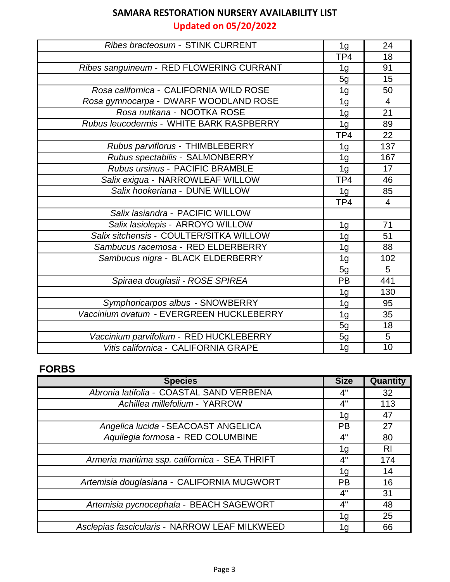**Updated on 05/20/2022**

| Ribes bracteosum - STINK CURRENT         | 1 <sub>g</sub> | 24              |
|------------------------------------------|----------------|-----------------|
|                                          | TP4            | 18              |
| Ribes sanguineum - RED FLOWERING CURRANT | 1g             | 91              |
|                                          | 5g             | 15              |
| Rosa californica - CALIFORNIA WILD ROSE  | 1 <sub>g</sub> | 50              |
| Rosa gymnocarpa - DWARF WOODLAND ROSE    | 1 <sub>g</sub> | $\overline{4}$  |
| Rosa nutkana - NOOTKA ROSE               | 1 <sub>g</sub> | 21              |
| Rubus leucodermis - WHITE BARK RASPBERRY | 1g             | 89              |
|                                          | TP4            | 22              |
| Rubus parviflorus - THIMBLEBERRY         | 1 <sub>g</sub> | 137             |
| Rubus spectabilis - SALMONBERRY          | 1 <sub>g</sub> | 167             |
| Rubus ursinus - PACIFIC BRAMBLE          | 1 <sub>g</sub> | 17              |
| Salix exigua - NARROWLEAF WILLOW         | TP4            | 46              |
| Salix hookeriana - DUNE WILLOW           | 1 <sub>g</sub> | 85              |
|                                          | TP4            | $\overline{4}$  |
| Salix lasiandra - PACIFIC WILLOW         |                |                 |
| Salix lasiolepis - ARROYO WILLOW         | 1 <sub>g</sub> | 71              |
| Salix sitchensis - COULTER/SITKA WILLOW  | 1 <sub>g</sub> | 51              |
| Sambucus racemosa - RED ELDERBERRY       | 1 <sub>g</sub> | 88              |
| Sambucus nigra - BLACK ELDERBERRY        | 1 <sub>g</sub> | 102             |
|                                          | 5g             | $\overline{5}$  |
| Spiraea douglasii - ROSE SPIREA          | PB             | 441             |
|                                          | 1 <sub>g</sub> | 130             |
| Symphoricarpos albus - SNOWBERRY         | 1g             | 95              |
| Vaccinium ovatum - EVERGREEN HUCKLEBERRY | 1 <sub>g</sub> | 35              |
|                                          | 5g             | 18              |
| Vaccinium parvifolium - RED HUCKLEBERRY  | 5g             | 5               |
| Vitis californica - CALIFORNIA GRAPE     | 1 <sub>g</sub> | $\overline{10}$ |

### **FORBS**

| <b>Species</b>                                 | <b>Size</b> | Quantity       |
|------------------------------------------------|-------------|----------------|
| Abronia latifolia - COASTAL SAND VERBENA       | 4"          | 32             |
| Achillea millefolium - YARROW                  | 4"          | 113            |
|                                                | 1g          | 47             |
| Angelica lucida - SEACOAST ANGELICA            | <b>PB</b>   | 27             |
| Aquilegia formosa - RED COLUMBINE              | 4"          | 80             |
|                                                | 1g          | R <sub>l</sub> |
| Armeria maritima ssp. californica - SEA THRIFT | 4"          | 174            |
|                                                | 1g          | 14             |
| Artemisia douglasiana - CALIFORNIA MUGWORT     | <b>PB</b>   | 16             |
|                                                | 4"          | 31             |
| Artemisia pycnocephala - BEACH SAGEWORT        | 4"          | 48             |
|                                                | 1g          | 25             |
| Asclepias fascicularis - NARROW LEAF MILKWEED  | 1g          | 66             |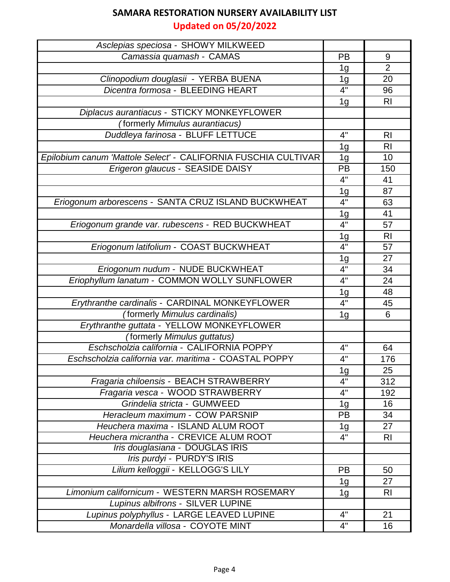**Updated on 05/20/2022**

| Asclepias speciosa - SHOWY MILKWEED                            |                  |                |
|----------------------------------------------------------------|------------------|----------------|
| Camassia quamash - CAMAS                                       | PB               | 9              |
|                                                                | 1 <sub>g</sub>   | $\overline{2}$ |
| Clinopodium douglasii - YERBA BUENA                            | 1g               | 20             |
| Dicentra formosa - BLEEDING HEART                              | 4"               | 96             |
|                                                                | 1 <sub>g</sub>   | R <sub>l</sub> |
| Diplacus aurantiacus - STICKY MONKEYFLOWER                     |                  |                |
| (formerly Mimulus aurantiacus)                                 |                  |                |
| Duddleya farinosa - BLUFF LETTUCE                              | 4"               | R <sub>l</sub> |
|                                                                | 1g               | RI             |
| Epilobium canum 'Mattole Select' - CALIFORNIA FUSCHIA CULTIVAR | 1 <sub>g</sub>   | 10             |
| Erigeron glaucus - SEASIDE DAISY                               | PB               | 150            |
|                                                                | 4"               | 41             |
|                                                                | 1g               | 87             |
| Eriogonum arborescens - SANTA CRUZ ISLAND BUCKWHEAT            | 4"               | 63             |
|                                                                | 1 <sub>g</sub>   | 41             |
| Eriogonum grande var. rubescens - RED BUCKWHEAT                | 4"               | 57             |
|                                                                | <u> 1g</u>       | R <sub>l</sub> |
| Eriogonum latifolium - COAST BUCKWHEAT                         | 4"               | 57             |
|                                                                | <u> 1g</u>       | 27             |
| Eriogonum nudum - NUDE BUCKWHEAT                               | $\overline{4}$ " | 34             |
| Eriophyllum lanatum - COMMON WOLLY SUNFLOWER                   | 4"               | 24             |
|                                                                | 1g               | 48             |
| Erythranthe cardinalis - CARDINAL MONKEYFLOWER                 | 4"               | 45             |
| (formerly Mimulus cardinalis)                                  | 1 <sub>g</sub>   | 6              |
| Erythranthe guttata - YELLOW MONKEYFLOWER                      |                  |                |
| (formerly Mimulus guttatus)                                    |                  |                |
| Eschscholzia california - CALIFORNIA POPPY                     | 4"               | 64             |
| Eschscholzia california var. maritima - COASTAL POPPY          | 4"               | 176            |
|                                                                | 1g               | 25             |
| Fragaria chiloensis - BEACH STRAWBERRY                         | 4"               | 312            |
| Fragaria vesca - WOOD STRAWBERRY                               | 4"               | 192            |
| Grindelia stricta - GUMWEED                                    | 1g               | 16             |
| Heracleum maximum - COW PARSNIP                                | PB               | 34             |
| Heuchera maxima - ISLAND ALUM ROOT                             | 1g               | 27             |
| Heuchera micrantha - CREVICE ALUM ROOT                         | 4"               | R <sub>l</sub> |
| Iris douglasiana - DOUGLAS IRIS                                |                  |                |
| Iris purdyi - PURDY'S IRIS                                     |                  |                |
| Lilium kelloggii - KELLOGG'S LILY                              | PB               | 50             |
|                                                                | 1g               | 27             |
| Limonium californicum - WESTERN MARSH ROSEMARY                 | 1 <sub>g</sub>   | <b>RI</b>      |
| Lupinus albifrons - SILVER LUPINE                              |                  |                |
| Lupinus polyphyllus - LARGE LEAVED LUPINE                      | 4"               | 21             |
| Monardella villosa - COYOTE MINT                               | 4"               | 16             |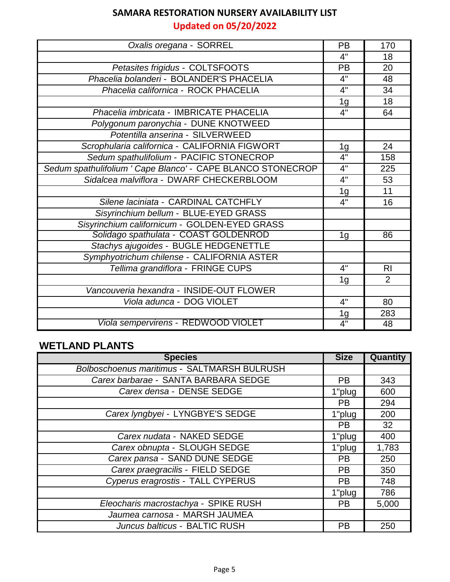# **Updated on 05/20/2022**

| Oxalis oregana - SORREL                                     | PB               | 170             |
|-------------------------------------------------------------|------------------|-----------------|
|                                                             | 4"               | 18              |
| Petasites frigidus - COLTSFOOTS                             | PB               | 20              |
| Phacelia bolanderi - BOLANDER'S PHACELIA                    | 4"               | 48              |
| Phacelia californica - ROCK PHACELIA                        | 4"               | 34              |
|                                                             | 1 <sub>g</sub>   | 18              |
| Phacelia imbricata - IMBRICATE PHACELIA                     | 4"               | 64              |
| Polygonum paronychia - DUNE KNOTWEED                        |                  |                 |
| Potentilla anserina - SILVERWEED                            |                  |                 |
| Scrophularia californica - CALIFORNIA FIGWORT               | 1 <sub>g</sub>   | 24              |
| Sedum spathulifolium - PACIFIC STONECROP                    | 4"               | 158             |
| Sedum spathulifolium ' Cape Blanco' - CAPE BLANCO STONECROP | 4"               | 225             |
| Sidalcea malviflora - DWARF CHECKERBLOOM                    | 4"               | 53              |
|                                                             | 1 <sub>g</sub>   | 11              |
| Silene laciniata - CARDINAL CATCHFLY                        | 4"               | 16              |
| Sisyrinchium bellum - BLUE-EYED GRASS                       |                  |                 |
| Sisyrinchium californicum - GOLDEN-EYED GRASS               |                  |                 |
| Solidago spathulata - COAST GOLDENROD                       | 1g               | $\overline{86}$ |
| Stachys ajugoides - BUGLE HEDGENETTLE                       |                  |                 |
| Symphyotrichum chilense - CALIFORNIA ASTER                  |                  |                 |
| Tellima grandiflora - FRINGE CUPS                           | 4"               | R <sub>l</sub>  |
|                                                             | 1 <sub>g</sub>   | $\overline{2}$  |
| Vancouveria hexandra - INSIDE-OUT FLOWER                    |                  |                 |
| Viola adunca - DOG VIOLET                                   | 4"               | 80              |
|                                                             | 1g               | 283             |
| Viola sempervirens - REDWOOD VIOLET                         | $\overline{4}$ " | 48              |

### **WETLAND PLANTS**

| <b>Species</b>                              | <b>Size</b> | Quantity |
|---------------------------------------------|-------------|----------|
| Bolboschoenus maritimus - SALTMARSH BULRUSH |             |          |
| Carex barbarae - SANTA BARBARA SEDGE        | <b>PB</b>   | 343      |
| Carex densa - DENSE SEDGE                   | 1"plug      | 600      |
|                                             | <b>PB</b>   | 294      |
| Carex lyngbyei - LYNGBYE'S SEDGE            | 1"plug      | 200      |
|                                             | <b>PB</b>   | 32       |
| Carex nudata - NAKED SEDGE                  | 1"plug      | 400      |
| Carex obnupta - SLOUGH SEDGE                | 1"plug      | 1,783    |
| Carex pansa - SAND DUNE SEDGE               | <b>PB</b>   | 250      |
| Carex praegracilis - FIELD SEDGE            | <b>PB</b>   | 350      |
| Cyperus eragrostis - TALL CYPERUS           | <b>PB</b>   | 748      |
|                                             | 1"plug      | 786      |
| Eleocharis macrostachya - SPIKE RUSH        | <b>PB</b>   | 5,000    |
| Jaumea carnosa - MARSH JAUMEA               |             |          |
| Juncus balticus - BALTIC RUSH               | <b>PB</b>   | 250      |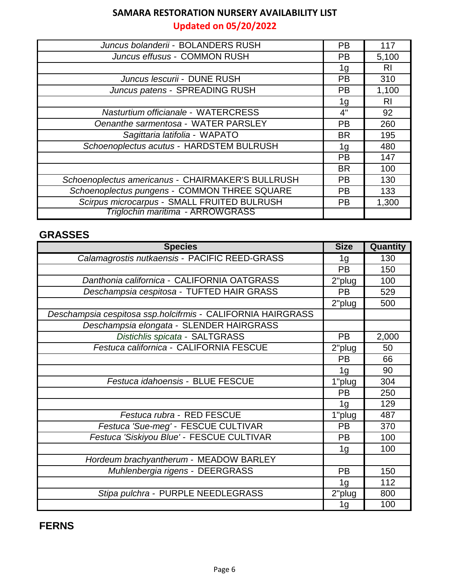**Updated on 05/20/2022**

| Juncus bolanderii - BOLANDERS RUSH                | <b>PB</b> | 117   |
|---------------------------------------------------|-----------|-------|
| Juncus effusus - COMMON RUSH                      | PB.       | 5,100 |
|                                                   | 1g        | RI.   |
| Juncus lescurii - DUNE RUSH                       | <b>PB</b> | 310   |
| Juncus patens - SPREADING RUSH                    | <b>PB</b> | 1,100 |
|                                                   | 1g        | RI.   |
| Nasturtium officianale - WATERCRESS               | 4"        | 92    |
| Oenanthe sarmentosa - WATER PARSLEY               | <b>PB</b> | 260   |
| Sagittaria latifolia - WAPATO                     | <b>BR</b> | 195   |
| Schoenoplectus acutus - HARDSTEM BULRUSH          | 1g        | 480   |
|                                                   | <b>PB</b> | 147   |
|                                                   | <b>BR</b> | 100   |
| Schoenoplectus americanus - CHAIRMAKER'S BULLRUSH | <b>PB</b> | 130   |
| Schoenoplectus pungens - COMMON THREE SQUARE      | <b>PB</b> | 133   |
| Scirpus microcarpus - SMALL FRUITED BULRUSH       | <b>PB</b> | 1,300 |
| Triglochin maritima - ARROWGRASS                  |           |       |

#### **GRASSES**

| <b>Species</b>                                              | <b>Size</b>    | Quantity |
|-------------------------------------------------------------|----------------|----------|
| Calamagrostis nutkaensis - PACIFIC REED-GRASS               | 1g             | 130      |
|                                                             | <b>PB</b>      | 150      |
| Danthonia californica - CALIFORNIA OATGRASS                 | 2"plug         | 100      |
| Deschampsia cespitosa - TUFTED HAIR GRASS                   | <b>PB</b>      | 529      |
|                                                             | 2"plug         | 500      |
| Deschampsia cespitosa ssp.holcifrmis - CALIFORNIA HAIRGRASS |                |          |
| Deschampsia elongata - SLENDER HAIRGRASS                    |                |          |
| Distichlis spicata - SALTGRASS                              | <b>PB</b>      | 2,000    |
| Festuca californica - CALIFORNIA FESCUE                     | 2"plug         | 50       |
|                                                             | <b>PB</b>      | 66       |
|                                                             | 1 <sub>g</sub> | 90       |
| Festuca idahoensis - BLUE FESCUE                            | 1"plug         | 304      |
|                                                             | <b>PB</b>      | 250      |
|                                                             | 1 <sub>g</sub> | 129      |
| Festuca rubra - RED FESCUE                                  | 1"plug         | 487      |
| Festuca 'Sue-meg' - FESCUE CULTIVAR                         | <b>PB</b>      | 370      |
| Festuca 'Siskiyou Blue' - FESCUE CULTIVAR                   | <b>PB</b>      | 100      |
|                                                             | 1 <sub>g</sub> | 100      |
| Hordeum brachyantherum - MEADOW BARLEY                      |                |          |
| Muhlenbergia rigens - DEERGRASS                             | <b>PB</b>      | 150      |
|                                                             | 1g             | 112      |
| Stipa pulchra - PURPLE NEEDLEGRASS                          | 2"plug         | 800      |
|                                                             | 1g             | 100      |

**FERNS**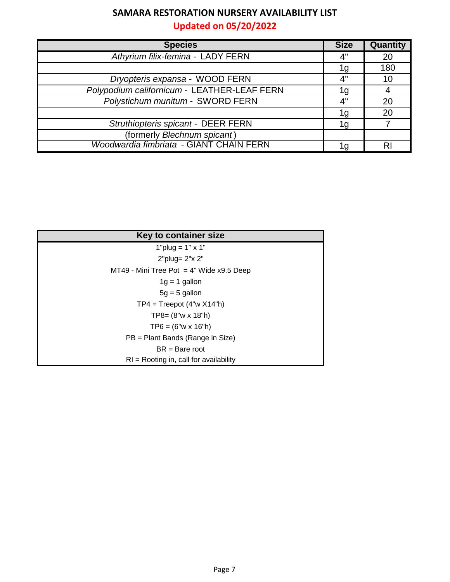# **Updated on 05/20/2022**

| <b>Species</b>                              | <b>Size</b> | <b>Quantity</b> |
|---------------------------------------------|-------------|-----------------|
| Athyrium filix-femina - LADY FERN           | 4"          | 20              |
|                                             | 1g          | 180             |
| Dryopteris expansa - WOOD FERN              | 4"          | 10              |
| Polypodium californicum - LEATHER-LEAF FERN | 1 g         |                 |
| Polystichum munitum - SWORD FERN            | 4"          | 20              |
|                                             | 1g          | 20              |
| Struthiopteris spicant - DEER FERN          | 1g          |                 |
| (formerly Blechnum spicant)                 |             |                 |
| Woodwardia fimbriata - GIANT CHAIN FERN     | 1g          | RI              |

| Key to container size                      |
|--------------------------------------------|
| $1"$ plug = $1"$ x $1"$                    |
| 2"plug= 2"x 2"                             |
| MT49 - Mini Tree Pot $=$ 4" Wide x9.5 Deep |
| $1g = 1$ gallon                            |
| $5g = 5$ gallon                            |
| $TP4 = Treepot (4"w X14"h)$                |
| $TP8 = (8"w \times 18"h)$                  |
| $TP6 = (6"w \times 16"h)$                  |
| $PB = Plant$ Bands (Range in Size)         |
| $BR = Bar$ e root                          |
| $RI =$ Rooting in, call for availability   |